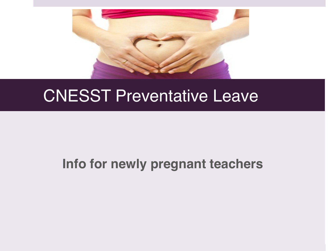

## CNESST Preventative Leave

#### **Info for newly pregnant teachers**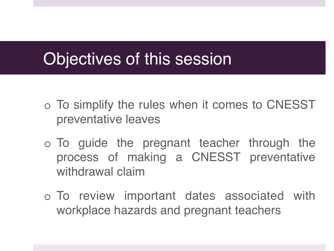## Objectives of this session

- o To simplify the rules when it comes to CNESST preventative leaves
- o To guide the pregnant teacher through the process of making a CNESST preventative withdrawal claim
- o To review important dates associated with workplace hazards and pregnant teachers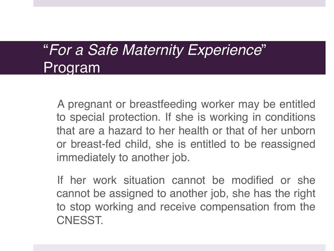### "*For a Safe Maternity Experience*" Program

A pregnant or breastfeeding worker may be entitled to special protection. If she is working in conditions that are a hazard to her health or that of her unborn or breast-fed child, she is entitled to be reassigned immediately to another job.

If her work situation cannot be modified or she cannot be assigned to another job, she has the right to stop working and receive compensation from the CNESST.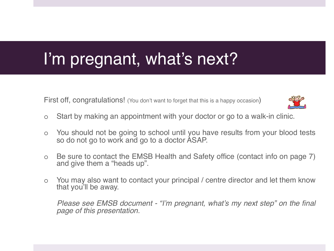## I'm pregnant, what's next?

First off. congratulations! (You don't want to forget that this is a happy occasion)



- o Start by making an appointment with your doctor or go to a walk-in clinic.
- o You should not be going to school until you have results from your blood tests so do not go to work and go to a doctor ASAP.
- o Be sure to contact the EMSB Health and Safety office (contact info on page 7) and give them a "heads up".
- o You may also want to contact your principal / centre director and let them know that you'll be away.

*Please see EMSB document - "I'm pregnant, what's my next step" on the final page of this presentation.*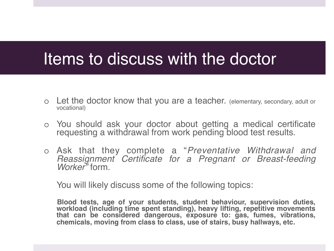#### Items to discuss with the doctor

- o Let the doctor know that you are a teacher. (elementary, secondary, adult or vocational)
- o You should ask your doctor about getting a medical certificate requesting a withdrawal from work pending blood test results.
- o Ask that they complete a "*Preventative Withdrawal and Reassignment Certificate for a Pregnant or Breast-feeding Worker"* form.

You will likely discuss some of the following topics:

**Blood tests, age of your students, student behaviour, supervision duties, workload (including time spent standing), heavy lifting, repetitive movements that can be considered dangerous, exposure to: gas, fumes, vibrations, chemicals, moving from class to class, use of stairs, busy hallways, etc.**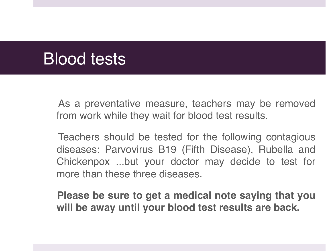## Blood tests

As a preventative measure, teachers may be removed from work while they wait for blood test results.

Teachers should be tested for the following contagious diseases: Parvovirus B19 (Fifth Disease), Rubella and Chickenpox ...but your doctor may decide to test for more than these three diseases.

**Please be sure to get a medical note saying that you will be away until your blood test results are back.**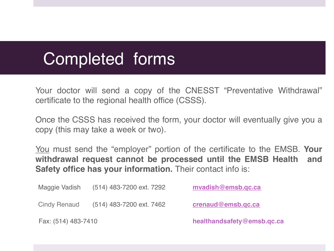## Completed forms

Your doctor will send a copy of the CNESST "Preventative Withdrawal" certificate to the regional health office (CSSS).

Once the CSSS has received the form, your doctor will eventually give you a copy (this may take a week or two).

You must send the "employer" portion of the certificate to the EMSB. **Your withdrawal request cannot be processed until the EMSB Health and Safety office has your information.** Their contact info is:

Maggie Vadish (514) 483-7200 ext. 7292 **mvadish@emsb.qc.ca** Cindy Renaud (514) 483-7200 ext. 7462 **crenaud@emsb.qc.ca** Fax: (514) 483-7410 **healthandsafety@emsb.qc.ca**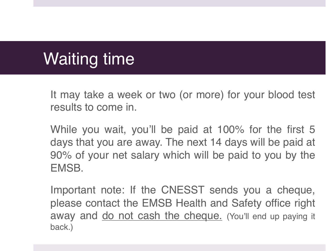# Waiting time

It may take a week or two (or more) for your blood test results to come in.

While you wait, you'll be paid at 100% for the first 5 days that you are away. The next 14 days will be paid at 90% of your net salary which will be paid to you by the EMSB.

Important note: If the CNESST sends you a cheque, please contact the EMSB Health and Safety office right away and <u>do not cash the cheque.</u> (You'll end up paying it back.)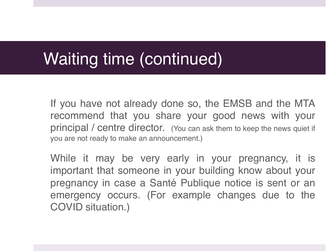## Waiting time (continued)

If you have not already done so, the EMSB and the MTA recommend that you share your good news with your principal / centre director. (You can ask them to keep the news quiet if you are not ready to make an announcement.)

While it may be very early in your pregnancy, it is important that someone in your building know about your pregnancy in case a Santé Publique notice is sent or an emergency occurs. (For example changes due to the COVID situation.)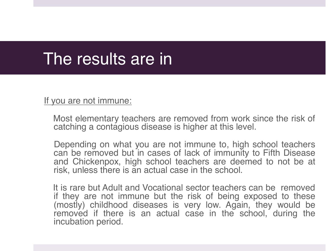### The results are in

If you are not immune:

 Most elementary teachers are removed from work since the risk of catching a contagious disease is higher at this level.

Depending on what you are not immune to, high school teachers can be removed but in cases of lack of immunity to Fifth Disease and Chickenpox, high school teachers are deemed to not be at risk, unless there is an actual case in the school.

 It is rare but Adult and Vocational sector teachers can be removed if they are not immune but the risk of being exposed to these (mostly) childhood diseases is very low. Again, they would be removed if there is an actual case in the school, during the incubation period.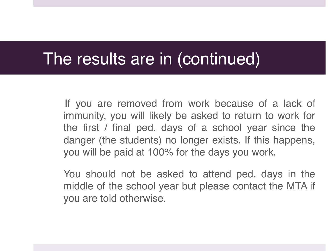#### The results are in (continued)

 If you are removed from work because of a lack of immunity, you will likely be asked to return to work for the first / final ped. days of a school year since the danger (the students) no longer exists. If this happens, you will be paid at 100% for the days you work.

You should not be asked to attend ped. days in the middle of the school year but please contact the MTA if you are told otherwise.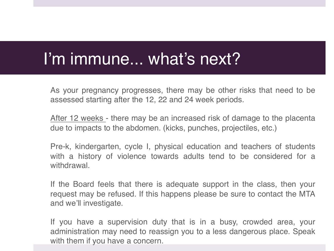## I'm immune... what's next?

As your pregnancy progresses, there may be other risks that need to be assessed starting after the 12, 22 and 24 week periods.

After 12 weeks - there may be an increased risk of damage to the placenta due to impacts to the abdomen. (kicks, punches, projectiles, etc.)

Pre-k, kindergarten, cycle I, physical education and teachers of students with a history of violence towards adults tend to be considered for a withdrawal.

If the Board feels that there is adequate support in the class, then your request may be refused. If this happens please be sure to contact the MTA and we'll investigate.

If you have a supervision duty that is in a busy, crowded area, your administration may need to reassign you to a less dangerous place. Speak with them if you have a concern.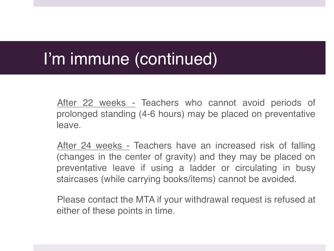## I'm immune (continued)

After 22 weeks - Teachers who cannot avoid periods of prolonged standing (4-6 hours) may be placed on preventative leave.

After 24 weeks - Teachers have an increased risk of falling (changes in the center of gravity) and they may be placed on preventative leave if using a ladder or circulating in busy staircases (while carrying books/items) cannot be avoided.

Please contact the MTA if your withdrawal request is refused at either of these points in time.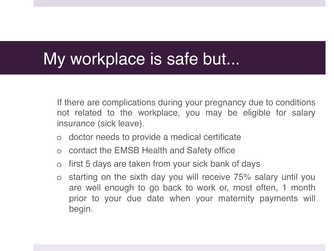### My workplace is safe but...

If there are complications during your pregnancy due to conditions not related to the workplace, you may be eligible for salary insurance (sick leave).

- o doctor needs to provide a medical certificate
- o contact the EMSB Health and Safety office
- o first 5 days are taken from your sick bank of days
- o starting on the sixth day you will receive 75% salary until you are well enough to go back to work or, most often, 1 month prior to your due date when your maternity payments will begin.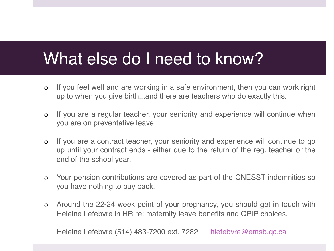## What else do I need to know?

- o If you feel well and are working in a safe environment, then you can work right up to when you give birth...and there are teachers who do exactly this.
- o If you are a regular teacher, your seniority and experience will continue when you are on preventative leave
- o If you are a contract teacher, your seniority and experience will continue to go up until your contract ends - either due to the return of the reg. teacher or the end of the school year.
- o Your pension contributions are covered as part of the CNESST indemnities so you have nothing to buy back.
- o Around the 22-24 week point of your pregnancy, you should get in touch with Heleine Lefebvre in HR re: maternity leave benefits and QPIP choices.

Heleine Lefebvre (514) 483-7200 ext. 7282 hlefebvre@emsb.qc.ca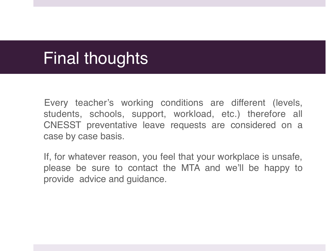## Final thoughts

Every teacher's working conditions are different (levels, students, schools, support, workload, etc.) therefore all CNESST preventative leave requests are considered on a case by case basis.

If, for whatever reason, you feel that your workplace is unsafe, please be sure to contact the MTA and we'll be happy to provide advice and guidance.